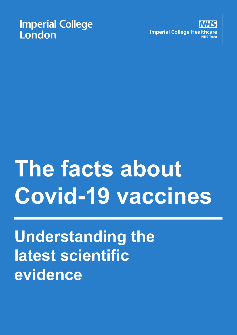## **Imperial College** London

**Imperial College Healthcare** 

# **The facts about Covid-19 vaccines**

**Understanding the latest scientific evidence**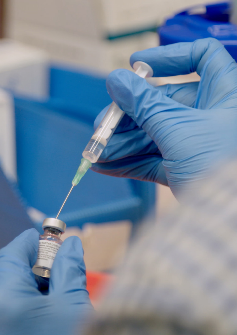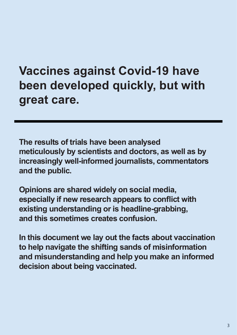## **Vaccines against Covid-19 have been developed quickly, but with great care.**

**The results of trials have been analysed meticulously by scientists and doctors, as well as by increasingly well-informed journalists, commentators and the public.** 

**Opinions are shared widely on social media, especially if new research appears to conflict with existing understanding or is headline-grabbing, and this sometimes creates confusion.** 

**In this document we lay out the facts about vaccination to help navigate the shifting sands of misinformation and misunderstanding and help you make an informed decision about being vaccinated.**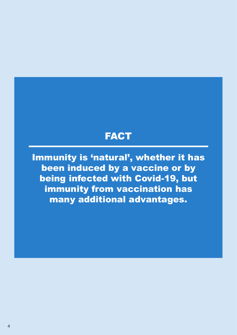Immunity is 'natural', whether it has been induced by a vaccine or by being infected with Covid-19, but immunity from vaccination has many additional advantages.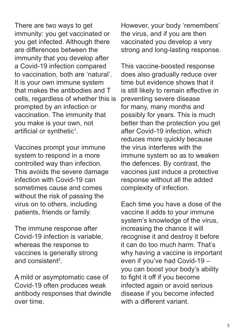There are two ways to get immunity: you get vaccinated or you get infected. Although there are differences between the immunity that you develop after a Covid-19 infection compared to vaccination, both are 'natural'. It is your own immune system that makes the antibodies and T cells, regardless of whether this is prompted by an infection or vaccination. The immunity that you make is your own, not artificial or synthetic $^1$ .

Vaccines prompt your immune system to respond in a more controlled way than infection. This avoids the severe damage infection with Covid-19 can sometimes cause and comes without the risk of passing the virus on to others, including patients, friends or family.

The immune response after Covid-19 infection is variable, whereas the response to vaccines is generally strong and consistent<sup>2</sup>.

A mild or asymptomatic case of Covid-19 often produces weak antibody responses that dwindle over time.

However, your body 'remembers' the virus, and if you are then vaccinated you develop a very strong and long-lasting response.

This vaccine-boosted response does also gradually reduce over time but evidence shows that it is still likely to remain effective in preventing severe disease for many, many months and possibly for years. This is much better than the protection you get after Covid-19 infection, which reduces more quickly because the virus interferes with the immune system so as to weaken the defences. By contrast, the vaccines just induce a protective response without all the added complexity of infection.

Each time you have a dose of the vaccine it adds to your immune system's knowledge of the virus, increasing the chance it will recognise it and destroy it before it can do too much harm. That's why having a vaccine is important even if you've had Covid-19 – you can boost your body's ability to fight it off if you become infected again or avoid serious disease if you become infected with a different variant.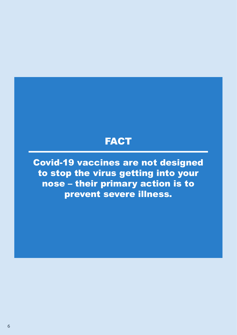Covid-19 vaccines are not designed to stop the virus getting into your nose – their primary action is to prevent severe illness.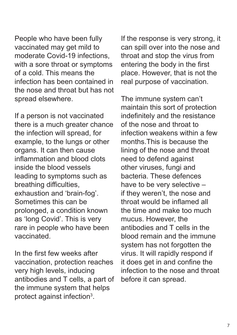People who have been fully vaccinated may get mild to moderate Covid-19 infections, with a sore throat or symptoms of a cold. This means the infection has been contained in the nose and throat but has not spread elsewhere.

If a person is not vaccinated there is a much greater chance the infection will spread, for example, to the lungs or other organs. It can then cause inflammation and blood clots inside the blood vessels leading to symptoms such as breathing difficulties, exhaustion and 'brain-fog'. Sometimes this can be prolonged, a condition known as 'long Covid'. This is very rare in people who have been vaccinated.

In the first few weeks after vaccination, protection reaches very high levels, inducing antibodies and T cells, a part of the immune system that helps protect against infection<sup>3</sup>.

If the response is very strong, it can spill over into the nose and throat and stop the virus from entering the body in the first place. However, that is not the real purpose of vaccination.

The immune system can't maintain this sort of protection indefinitely and the resistance of the nose and throat to infection weakens within a few months. This is because the lining of the nose and throat need to defend against other viruses, fungi and bacteria. These defences have to be very selective – if they weren't, the nose and throat would be inflamed all the time and make too much mucus. However, the antibodies and T cells in the blood remain and the immune system has not forgotten the virus. It will rapidly respond if it does get in and confine the infection to the nose and throat before it can spread.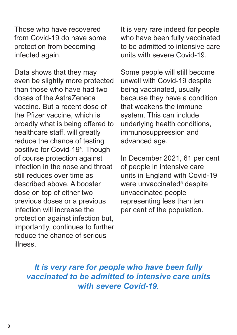Those who have recovered from Covid-19 do have some protection from becoming infected again.

Data shows that they may even be slightly more protected than those who have had two doses of the AstraZeneca vaccine. But a recent dose of the Pfizer vaccine, which is broadly what is being offered to healthcare staff, will greatly reduce the chance of testing positive for Covid-194 . Though of course protection against infection in the nose and throat still reduces over time as described above. A booster dose on top of either two previous doses or a previous infection will increase the protection against infection but, importantly, continues to further reduce the chance of serious illness.

It is very rare indeed for people who have been fully vaccinated to be admitted to intensive care units with severe Covid-19.

Some people will still become unwell with Covid-19 despite being vaccinated, usually because they have a condition that weakens the immune system. This can include underlying health conditions, immunosuppression and advanced age.

In December 2021, 61 per cent of people in intensive care units in England with Covid-19 were unvaccinated<sup>5</sup> despite unvaccinated people representing less than ten per cent of the population.

*It is very rare for people who have been fully vaccinated to be admitted to intensive care units with severe Covid-19.*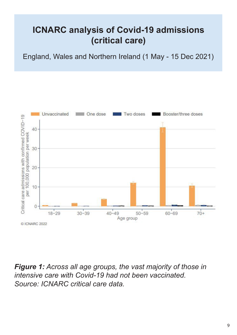## **ICNARC analysis of Covid-19 admissions (critical care)**

England, Wales and Northern Ireland (1 May - 15 Dec 2021)



*Figure 1: Across all age groups, the vast majority of those in intensive care with Covid-19 had not been vaccinated. Source: ICNARC critical care data.*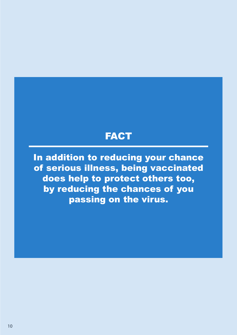In addition to reducing your chance of serious illness, being vaccinated does help to protect others too, by reducing the chances of you passing on the virus.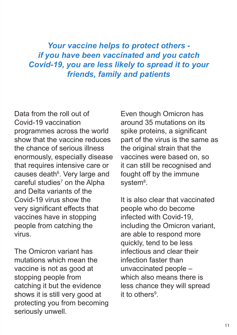*Your vaccine helps to protect others if you have been vaccinated and you catch Covid-19, you are less likely to spread it to your friends, family and patients*

Data from the roll out of Covid-19 vaccination programmes across the world show that the vaccine reduces the chance of serious illness enormously, especially disease that requires intensive care or causes death<sup>6</sup>. Very large and careful studies<sup>7</sup> on the Alpha and Delta variants of the Covid-19 virus show the very significant effects that vaccines have in stopping people from catching the virus.

The Omicron variant has mutations which mean the vaccine is not as good at stopping people from catching it but the evidence shows it is still very good at protecting you from becoming seriously unwell.

Even though Omicron has around 35 mutations on its spike proteins, a significant part of the virus is the same as the original strain that the vaccines were based on, so it can still be recognised and fought off by the immune system<sup>8</sup>.

It is also clear that vaccinated people who do become infected with Covid-19, including the Omicron variant, are able to respond more quickly, tend to be less infectious and clear their infection faster than unvaccinated people – which also means there is less chance they will spread it to others<sup>9</sup>.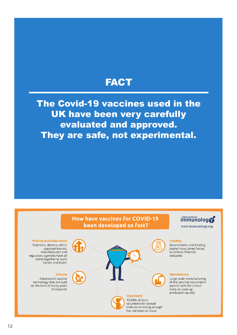The Covid-19 vaccines used in the UK have been very carefully evaluated and approved. They are safe, not experimental.



**Volunteers** 10,000s of keen volunteers for clinical trials so recruiting enough has not been an issue



www.immunology.org

#### **Funding**

Governments and funding bodies have joined forces to remove financial obstacles



Large-scale manufacturing of the vaccines occurred in parallel with the clinical trials, to scale-up production quickly

#### **Priority & collaboration**

Scientists, doctors, ethics approval boards, manufacturers and regulatory agencies have all come together to work harder and faster

#### **Science**

Advances in vaccine technology that are built on the back of many years of research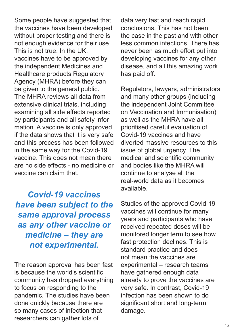Some people have suggested that the vaccines have been developed without proper testing and there is not enough evidence for their use. This is not true. In the UK, vaccines have to be approved by the independent Medicines and Healthcare products Regulatory Agency (MHRA) before they can be given to the general public. The MHRA reviews all data from extensive clinical trials, including examining all side effects reported by participants and all safety information. A vaccine is only approved if the data shows that it is very safe and this process has been followed in the same way for the Covid-19 vaccine. This does not mean there are no side effects - no medicine or vaccine can claim that.

*Covid-19 vaccines have been subject to the same approval process as any other vaccine or medicine – they are not experimental.*

The reason approval has been fast is because the world's scientific community has dropped everything to focus on responding to the pandemic. The studies have been done quickly because there are so many cases of infection that researchers can gather lots of

data very fast and reach rapid conclusions. This has not been the case in the past and with other less common infections. There has never been as much effort put into developing vaccines for any other disease, and all this amazing work has paid off.

Regulators, lawyers, administrators and many other groups (including the independent Joint Committee on Vaccination and Immunisation) as well as the MHRA have all prioritised careful evaluation of Covid-19 vaccines and have diverted massive resources to this issue of global urgency. The medical and scientific community and bodies like the MHRA will continue to analyse all the real-world data as it becomes available.

Studies of the approved Covid-19 vaccines will continue for many years and participants who have received repeated doses will be monitored longer term to see how fast protection declines. This is standard practice and does not mean the vaccines are experimental – research teams have gathered enough data already to prove the vaccines are very safe. In contrast, Covid-19 infection has been shown to do significant short and long-term damage.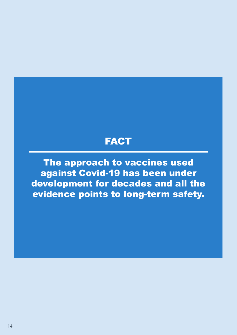The approach to vaccines used against Covid-19 has been under development for decades and all the evidence points to long-term safety.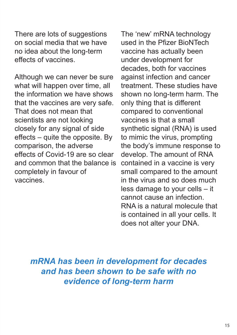There are lots of suggestions on social media that we have no idea about the long-term effects of vaccines.

Although we can never be sure what will happen over time, all the information we have shows that the vaccines are very safe. That does not mean that scientists are not looking closely for any signal of side effects – quite the opposite. By comparison, the adverse effects of Covid-19 are so clear and common that the balance is completely in favour of vaccines.

The 'new' mRNA technology used in the Pfizer BioNTech vaccine has actually been under development for decades, both for vaccines against infection and cancer treatment. These studies have shown no long-term harm. The only thing that is different compared to conventional vaccines is that a small synthetic signal (RNA) is used to mimic the virus, prompting the body's immune response to develop. The amount of RNA contained in a vaccine is very small compared to the amount in the virus and so does much less damage to your cells – it cannot cause an infection. RNA is a natural molecule that is contained in all your cells. It does not alter your DNA.

*mRNA has been in development for decades and has been shown to be safe with no evidence of long-term harm*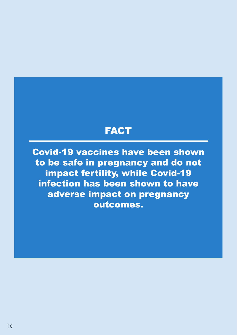Covid-19 vaccines have been shown to be safe in pregnancy and do not impact fertility, while Covid-19 infection has been shown to have adverse impact on pregnancy outcomes.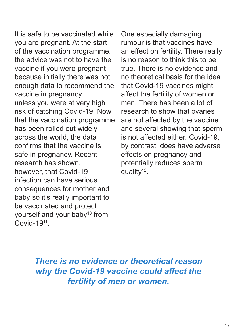It is safe to be vaccinated while you are pregnant. At the start of the vaccination programme, the advice was not to have the vaccine if you were pregnant because initially there was not enough data to recommend the vaccine in pregnancy unless you were at very high risk of catching Covid-19. Now that the vaccination programme has been rolled out widely across the world, the data confirms that the vaccine is safe in pregnancy. Recent research has shown, however, that Covid-19 infection can have serious consequences for mother and baby so it's really important to be vaccinated and protect yourself and your baby<sup>10</sup> from Covid-1911.

One especially damaging rumour is that vaccines have an effect on fertility. There really is no reason to think this to be true. There is no evidence and no theoretical basis for the idea that Covid-19 vaccines might affect the fertility of women or men. There has been a lot of research to show that ovaries are not affected by the vaccine and several showing that sperm is not affected either. Covid-19, by contrast, does have adverse effects on pregnancy and potentially reduces sperm quality $12$ .

## *There is no evidence or theoretical reason why the Covid-19 vaccine could affect the fertility of men or women.*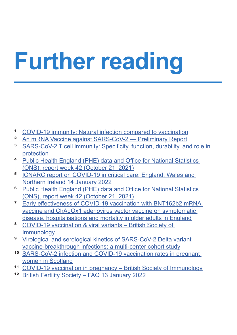# **Further reading**

- [COVID-19 immunity: Natural infection compared to vaccination](https://www.immunology.org/coronavirus/connect-coronavirus-public-engagement-resources/covid-immunity-infection-vaccine) 1
- <u> 2 An mRNA Vaccine against SARS-CoV-2 Preliminary Report</u>
- [SARS-CoV-2 T cell immunity: Specificity, function, durability, and role in](https://www.science.org/doi/10.1126/sciimmunol.abd6160)  [protection](https://www.science.org/doi/10.1126/sciimmunol.abd6160) 3
- Public Health England (PHE) data and Office for National Statistics (ONS), report week 42 (October 21, 2021) 4
- [ICNARC report on COVID-19 in critical care: England, Wales and](C:\home\chronos\u-ba2d43fd038f431ade9fbf6eb06002e029ee6ab9\MyFiles\FILES ON CHROMEBOOK\Documents\ICNARC_COVID-19_Report_2022-01-14.pdf)  [Northern Ireland 14 January 2022](C:\home\chronos\u-ba2d43fd038f431ade9fbf6eb06002e029ee6ab9\MyFiles\FILES ON CHROMEBOOK\Documents\ICNARC_COVID-19_Report_2022-01-14.pdf) 5
- <sup>6</sup> Public Health England (PHE) data and Office for National Statistics [\(ONS\), report week 42 \(October 21, 2021\)](https://assets.publishing.service.gov.uk/government/uploads/system/uploads/attachment_data/file/1027511/Vaccine-surveillance-report-week-42.pdf)
- Early effectiveness of COVID-19 vaccination with BNT162b2 mRNA vaccine and ChAdOx1 adenovirus vector vaccine on symptomatic disease, hospitalisations and mortality in older adults in England 7
- [COVID-19 vaccination & viral variants British Society of](https://www.immunology.org/coronavirus/connect-coronavirus-public-engagement-resources/covid-19-vaccination-viral-variants)  **[Immunology](https://www.immunology.org/coronavirus/connect-coronavirus-public-engagement-resources/covid-19-vaccination-viral-variants)** 8
- [Virological and serological kinetics of SARS-CoV-2 Delta variant](https://www.medrxiv.org/content/10.1101/2021.07.28.21261295v1)  [vaccine-breakthrough infections: a multi-center cohort study](https://www.medrxiv.org/content/10.1101/2021.07.28.21261295v1) 9
- <sup>10</sup> SARS-CoV-2 infection and COVID-19 vaccination rates in pregnant [women in Scotland](https://www.nature.com/articles/s41591-021-01666-2)
- <sup>11</sup> [COVID-19 vaccination in pregnancy British Society of Immunology](https://www.britishfertilitysociety.org.uk/wp-content/uploads/2022/01/Covid19-Vaccines-FAQ-3.1-13-January-2022.pdf)
- [British Fertility Society FAQ 13 January 2022](https://www.britishfertilitysociety.org.uk/wp-content/uploads/2022/01/Covid19-Vaccines-FAQ-3.1-13-January-2022.pdf) 12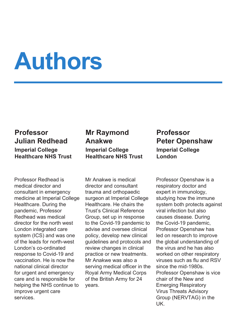# **Authors**

### **Professor Julian Redhead Imperial College Healthcare NHS Trust**

Professor Redhead is medical director and consultant in emergency medicine at Imperial College Healthcare. During the pandemic, Professor Redhead was medical director for the north west London integrated care system (ICS) and was one of the leads for north-west London's co-ordinated response to Covid-19 and vaccination. He is now the national clinical director for urgent and emergency care and is responsible for helping the NHS continue to improve urgent care services.

### **Mr Raymond Anakwe Imperial College Healthcare NHS Trust**

Mr Anakwe is medical director and consultant trauma and orthopaedic surgeon at Imperial College Healthcare. He chairs the Trust's Clinical Reference Group, set up in response to the Covid-19 pandemic to advise and oversee clinical policy, develop new clinical guidelines and protocols and review changes in clinical practice or new treatments. Mr Anakwe was also a serving medical officer in the Royal Army Medical Corps of the British Army for 24 years.

### **Professor Peter Openshaw Imperial College London**

Professor Openshaw is a respiratory doctor and expert in immunology, studying how the immune system both protects against viral infection but also causes disease. During the Covid-19 pandemic, Professor Openshaw has led on research to improve the global understanding of the virus and he has also worked on other respiratory viruses such as flu and RSV since the mid-1980s. Professor Openshaw is vice chair of the New and Emerging Respiratory Virus Threats Advisory Group (NERVTAG) in the UK.